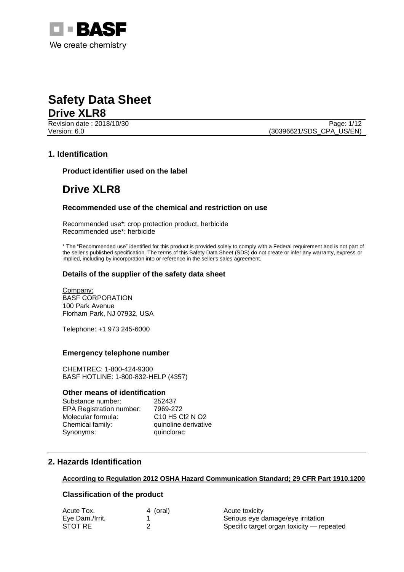

**Revision date : 2018/10/30** Page: 1/12

Version: 6.0 (30396621/SDS\_CPA\_US/EN)

#### **1. Identification**

**Product identifier used on the label**

### **Drive XLR8**

#### **Recommended use of the chemical and restriction on use**

Recommended use\*: crop protection product, herbicide Recommended use\*: herbicide

\* The "Recommended use" identified for this product is provided solely to comply with a Federal requirement and is not part of the seller's published specification. The terms of this Safety Data Sheet (SDS) do not create or infer any warranty, express or implied, including by incorporation into or reference in the seller's sales agreement.

#### **Details of the supplier of the safety data sheet**

Company: BASF CORPORATION 100 Park Avenue Florham Park, NJ 07932, USA

Telephone: +1 973 245-6000

#### **Emergency telephone number**

CHEMTREC: 1-800-424-9300 BASF HOTLINE: 1-800-832-HELP (4357)

#### **Other means of identification**

Substance number: 252437 EPA Registration number: 7969-272 Molecular formula: C10 H5 Cl2 N O2 Chemical family: quinoline derivative Synonyms: quinclorac

#### **2. Hazards Identification**

#### **According to Regulation 2012 OSHA Hazard Communication Standard; 29 CFR Part 1910.1200**

#### **Classification of the product**

| Acute Tox.      | 4 (oral) | Acute toxicity                            |
|-----------------|----------|-------------------------------------------|
| Eye Dam./Irrit. |          | Serious eye damage/eye irritation         |
| STOT RE         |          | Specific target organ toxicity — repeated |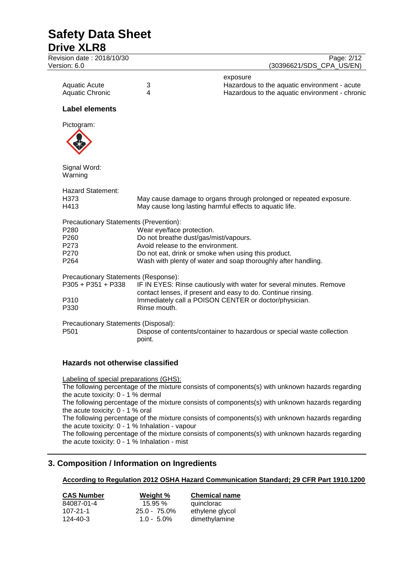### **Safety Data Sheet Drive XLR8** Revision date : 2018/10/30 Page: 2/12<br>
Version: 6.0 (30396621/SDS CPA US/EN) (30396621/SDS\_CPA\_US/EN) exposure Aquatic Acute 3 3 3 3 3 4 3 3 4 4 5 Hazardous to the aquatic environment - acute<br>Aquatic Chronic 4 5 4 5 Hazardous to the aquatic environment - chroni Hazardous to the aquatic environment - chronic **Label elements** Pictogram: Signal Word: Warning Hazard Statement: H373 May cause damage to organs through prolonged or repeated exposure.<br>H413 May cause long lasting harmful effects to aquatic life. May cause long lasting harmful effects to aquatic life. Precautionary Statements (Prevention): P280 Wear eye/face protection.<br>P260 Do not breathe dust/qas/m

- Do not breathe dust/gas/mist/vapours.
- P273 Avoid release to the environment.
- P270 Do not eat, drink or smoke when using this product.
- P264 Wash with plenty of water and soap thoroughly after handling.

Precautionary Statements (Response):

| IF IN EYES: Rinse cautiously with water for several minutes. Remove<br>contact lenses, if present and easy to do. Continue rinsing. |
|-------------------------------------------------------------------------------------------------------------------------------------|
| Immediately call a POISON CENTER or doctor/physician.                                                                               |
| Rinse mouth.                                                                                                                        |
|                                                                                                                                     |

Precautionary Statements (Disposal):

Dispose of contents/container to hazardous or special waste collection point.

### **Hazards not otherwise classified**

Labeling of special preparations (GHS): The following percentage of the mixture consists of components(s) with unknown hazards regarding the acute toxicity: 0 - 1 % dermal The following percentage of the mixture consists of components(s) with unknown hazards regarding the acute toxicity: 0 - 1 % oral The following percentage of the mixture consists of components(s) with unknown hazards regarding the acute toxicity: 0 - 1 % Inhalation - vapour The following percentage of the mixture consists of components(s) with unknown hazards regarding the acute toxicity: 0 - 1 % Inhalation - mist

### **3. Composition / Information on Ingredients**

### **According to Regulation 2012 OSHA Hazard Communication Standard; 29 CFR Part 1910.1200**

| Weight %        | <b>Chemical name</b> |  |
|-----------------|----------------------|--|
| 15.95%          | quinclorac           |  |
| $25.0 - 75.0\%$ | ethylene glycol      |  |
| $1.0 - 5.0\%$   | dimethylamine        |  |
|                 |                      |  |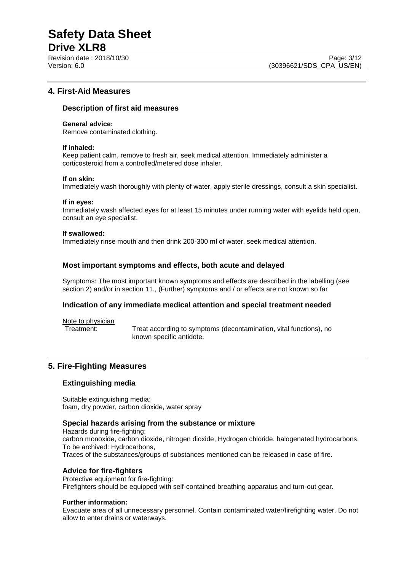# **Safety Data Sheet**

#### **Drive XLR8**

#### **4. First-Aid Measures**

#### **Description of first aid measures**

#### **General advice:**

Remove contaminated clothing.

#### **If inhaled:**

Keep patient calm, remove to fresh air, seek medical attention. Immediately administer a corticosteroid from a controlled/metered dose inhaler.

#### **If on skin:**

Immediately wash thoroughly with plenty of water, apply sterile dressings, consult a skin specialist.

#### **If in eyes:**

Immediately wash affected eyes for at least 15 minutes under running water with eyelids held open, consult an eye specialist.

#### **If swallowed:**

Immediately rinse mouth and then drink 200-300 ml of water, seek medical attention.

#### **Most important symptoms and effects, both acute and delayed**

Symptoms: The most important known symptoms and effects are described in the labelling (see section 2) and/or in section 11., (Further) symptoms and / or effects are not known so far

#### **Indication of any immediate medical attention and special treatment needed**

Note to physician<br>Treatment:

Treat according to symptoms (decontamination, vital functions), no known specific antidote.

#### **5. Fire-Fighting Measures**

#### **Extinguishing media**

Suitable extinguishing media: foam, dry powder, carbon dioxide, water spray

#### **Special hazards arising from the substance or mixture**

Hazards during fire-fighting: carbon monoxide, carbon dioxide, nitrogen dioxide, Hydrogen chloride, halogenated hydrocarbons, To be archived: Hydrocarbons, Traces of the substances/groups of substances mentioned can be released in case of fire.

#### **Advice for fire-fighters**

Protective equipment for fire-fighting: Firefighters should be equipped with self-contained breathing apparatus and turn-out gear.

#### **Further information:**

Evacuate area of all unnecessary personnel. Contain contaminated water/firefighting water. Do not allow to enter drains or waterways.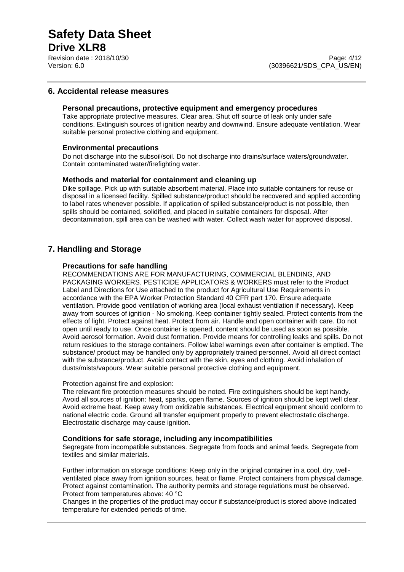#### **6. Accidental release measures**

#### **Personal precautions, protective equipment and emergency procedures**

Take appropriate protective measures. Clear area. Shut off source of leak only under safe conditions. Extinguish sources of ignition nearby and downwind. Ensure adequate ventilation. Wear suitable personal protective clothing and equipment.

#### **Environmental precautions**

Do not discharge into the subsoil/soil. Do not discharge into drains/surface waters/groundwater. Contain contaminated water/firefighting water.

#### **Methods and material for containment and cleaning up**

Dike spillage. Pick up with suitable absorbent material. Place into suitable containers for reuse or disposal in a licensed facility. Spilled substance/product should be recovered and applied according to label rates whenever possible. If application of spilled substance/product is not possible, then spills should be contained, solidified, and placed in suitable containers for disposal. After decontamination, spill area can be washed with water. Collect wash water for approved disposal.

#### **7. Handling and Storage**

#### **Precautions for safe handling**

RECOMMENDATIONS ARE FOR MANUFACTURING, COMMERCIAL BLENDING, AND PACKAGING WORKERS. PESTICIDE APPLICATORS & WORKERS must refer to the Product Label and Directions for Use attached to the product for Agricultural Use Requirements in accordance with the EPA Worker Protection Standard 40 CFR part 170. Ensure adequate ventilation. Provide good ventilation of working area (local exhaust ventilation if necessary). Keep away from sources of ignition - No smoking. Keep container tightly sealed. Protect contents from the effects of light. Protect against heat. Protect from air. Handle and open container with care. Do not open until ready to use. Once container is opened, content should be used as soon as possible. Avoid aerosol formation. Avoid dust formation. Provide means for controlling leaks and spills. Do not return residues to the storage containers. Follow label warnings even after container is emptied. The substance/ product may be handled only by appropriately trained personnel. Avoid all direct contact with the substance/product. Avoid contact with the skin, eyes and clothing. Avoid inhalation of dusts/mists/vapours. Wear suitable personal protective clothing and equipment.

#### Protection against fire and explosion:

The relevant fire protection measures should be noted. Fire extinguishers should be kept handy. Avoid all sources of ignition: heat, sparks, open flame. Sources of ignition should be kept well clear. Avoid extreme heat. Keep away from oxidizable substances. Electrical equipment should conform to national electric code. Ground all transfer equipment properly to prevent electrostatic discharge. Electrostatic discharge may cause ignition.

#### **Conditions for safe storage, including any incompatibilities**

Segregate from incompatible substances. Segregate from foods and animal feeds. Segregate from textiles and similar materials.

Further information on storage conditions: Keep only in the original container in a cool, dry, wellventilated place away from ignition sources, heat or flame. Protect containers from physical damage. Protect against contamination. The authority permits and storage regulations must be observed. Protect from temperatures above: 40 °C

Changes in the properties of the product may occur if substance/product is stored above indicated temperature for extended periods of time.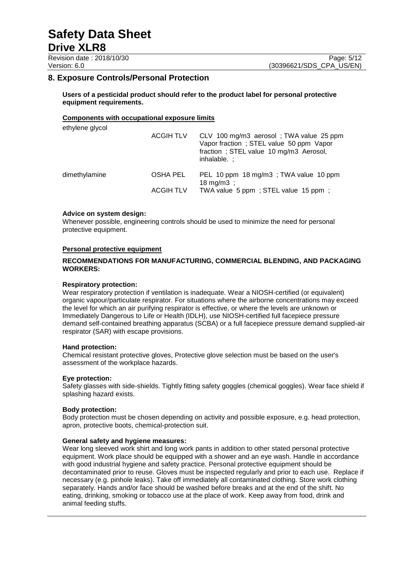Revision date : 2018/10/30 Page: 5/12<br>
Version: 6.0 (30396621/SDS CPA US/EN)

(30396621/SDS\_CPA\_US/EN)

#### **8. Exposure Controls/Personal Protection**

**Users of a pesticidal product should refer to the product label for personal protective equipment requirements.**

#### **Components with occupational exposure limits**

| ethylene glycol | <b>ACGIH TLV</b> | CLV 100 mg/m3 aerosol; TWA value 25 ppm<br>Vapor fraction; STEL value 50 ppm Vapor<br>fraction; STEL value 10 mg/m3 Aerosol,<br>inhalable.: |
|-----------------|------------------|---------------------------------------------------------------------------------------------------------------------------------------------|
| dimethylamine   | OSHA PEL         | PEL 10 ppm 18 mg/m3; TWA value 10 ppm<br>18 mg/m $3$ ;                                                                                      |
|                 | <b>ACGIH TLV</b> | TWA value 5 ppm; STEL value 15 ppm;                                                                                                         |

#### **Advice on system design:**

Whenever possible, engineering controls should be used to minimize the need for personal protective equipment.

#### **Personal protective equipment**

#### **RECOMMENDATIONS FOR MANUFACTURING, COMMERCIAL BLENDING, AND PACKAGING WORKERS:**

#### **Respiratory protection:**

Wear respiratory protection if ventilation is inadequate. Wear a NIOSH-certified (or equivalent) organic vapour/particulate respirator. For situations where the airborne concentrations may exceed the level for which an air purifying respirator is effective, or where the levels are unknown or Immediately Dangerous to Life or Health (IDLH), use NIOSH-certified full facepiece pressure demand self-contained breathing apparatus (SCBA) or a full facepiece pressure demand supplied-air respirator (SAR) with escape provisions.

#### **Hand protection:**

Chemical resistant protective gloves, Protective glove selection must be based on the user's assessment of the workplace hazards.

#### **Eye protection:**

Safety glasses with side-shields. Tightly fitting safety goggles (chemical goggles). Wear face shield if splashing hazard exists.

#### **Body protection:**

Body protection must be chosen depending on activity and possible exposure, e.g. head protection, apron, protective boots, chemical-protection suit.

#### **General safety and hygiene measures:**

Wear long sleeved work shirt and long work pants in addition to other stated personal protective equipment. Work place should be equipped with a shower and an eye wash. Handle in accordance with good industrial hygiene and safety practice. Personal protective equipment should be decontaminated prior to reuse. Gloves must be inspected regularly and prior to each use. Replace if necessary (e.g. pinhole leaks). Take off immediately all contaminated clothing. Store work clothing separately. Hands and/or face should be washed before breaks and at the end of the shift. No eating, drinking, smoking or tobacco use at the place of work. Keep away from food, drink and animal feeding stuffs.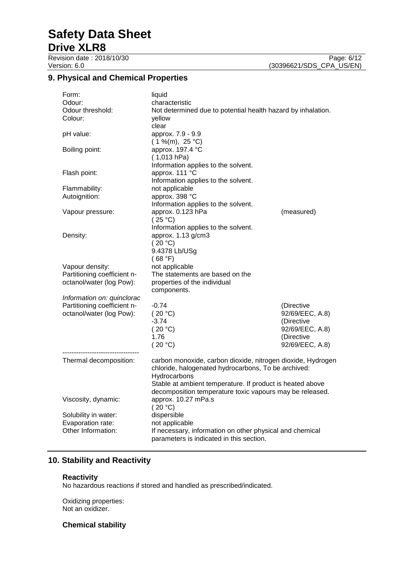# **Safety Data Sheet**

### **Drive XLR8**

Revision date : 2018/10/30 Page: 6/12<br>Version: 6.0 (30396621/SDS\_CPA\_US/EN) (30396621/SDS\_CPA\_US/EN)

#### **9. Physical and Chemical Properties**

| Form:                       | liquid                                                       |                 |  |
|-----------------------------|--------------------------------------------------------------|-----------------|--|
| Odour:                      | characteristic                                               |                 |  |
| Odour threshold:            | Not determined due to potential health hazard by inhalation. |                 |  |
| Colour:                     | yellow                                                       |                 |  |
|                             | clear                                                        |                 |  |
| pH value:                   | approx. 7.9 - 9.9                                            |                 |  |
|                             | $(1\%$ (m), 25 °C)                                           |                 |  |
|                             |                                                              |                 |  |
| Boiling point:              | approx. 197.4 °C                                             |                 |  |
|                             | (1,013 hPa)                                                  |                 |  |
|                             | Information applies to the solvent.                          |                 |  |
| Flash point:                | approx. 111 °C                                               |                 |  |
|                             | Information applies to the solvent.                          |                 |  |
| Flammability:               | not applicable                                               |                 |  |
| Autoignition:               | approx. 398 °C                                               |                 |  |
|                             | Information applies to the solvent.                          |                 |  |
| Vapour pressure:            | approx. 0.123 hPa                                            | (measured)      |  |
|                             | (25 °C)                                                      |                 |  |
|                             | Information applies to the solvent.                          |                 |  |
| Density:                    | approx. 1.13 g/cm3                                           |                 |  |
|                             | (20 °C)                                                      |                 |  |
|                             | 9.4378 Lb/USg                                                |                 |  |
|                             |                                                              |                 |  |
|                             | (68 °F)                                                      |                 |  |
| Vapour density:             | not applicable                                               |                 |  |
| Partitioning coefficient n- | The statements are based on the                              |                 |  |
| octanol/water (log Pow):    | properties of the individual                                 |                 |  |
|                             | components.                                                  |                 |  |
| Information on: quinclorac  |                                                              |                 |  |
| Partitioning coefficient n- | $-0.74$                                                      | (Directive      |  |
| octanol/water (log Pow):    | (20 °C)                                                      | 92/69/EEC, A.8) |  |
|                             | $-3.74$                                                      | (Directive      |  |
|                             | (20 °C)                                                      | 92/69/EEC, A.8) |  |
|                             | 1.76                                                         | (Directive      |  |
|                             | (20 °C)                                                      | 92/69/EEC, A.8) |  |
|                             |                                                              |                 |  |
| Thermal decomposition:      | carbon monoxide, carbon dioxide, nitrogen dioxide, Hydrogen  |                 |  |
|                             | chloride, halogenated hydrocarbons, To be archived:          |                 |  |
|                             | Hydrocarbons                                                 |                 |  |
|                             |                                                              |                 |  |
|                             | Stable at ambient temperature. If product is heated above    |                 |  |
|                             | decomposition temperature toxic vapours may be released.     |                 |  |
| Viscosity, dynamic:         | approx. 10.27 mPa.s                                          |                 |  |
|                             | (20 °C)                                                      |                 |  |
| Solubility in water:        | dispersible                                                  |                 |  |
| Evaporation rate:           | not applicable                                               |                 |  |
| Other Information:          | If necessary, information on other physical and chemical     |                 |  |
|                             | parameters is indicated in this section.                     |                 |  |

#### **10. Stability and Reactivity**

#### **Reactivity**

No hazardous reactions if stored and handled as prescribed/indicated.

Oxidizing properties: Not an oxidizer.

#### **Chemical stability**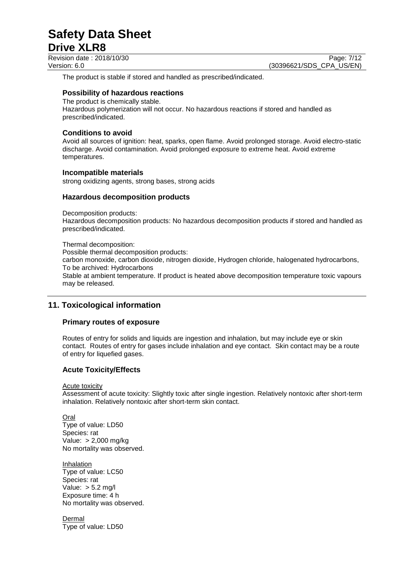Revision date : 2018/10/30 Page: 7/12

The product is stable if stored and handled as prescribed/indicated.

#### **Possibility of hazardous reactions**

The product is chemically stable. Hazardous polymerization will not occur. No hazardous reactions if stored and handled as prescribed/indicated.

#### **Conditions to avoid**

Avoid all sources of ignition: heat, sparks, open flame. Avoid prolonged storage. Avoid electro-static discharge. Avoid contamination. Avoid prolonged exposure to extreme heat. Avoid extreme temperatures.

#### **Incompatible materials**

strong oxidizing agents, strong bases, strong acids

#### **Hazardous decomposition products**

Decomposition products:

Hazardous decomposition products: No hazardous decomposition products if stored and handled as prescribed/indicated.

Thermal decomposition: Possible thermal decomposition products: carbon monoxide, carbon dioxide, nitrogen dioxide, Hydrogen chloride, halogenated hydrocarbons, To be archived: Hydrocarbons Stable at ambient temperature. If product is heated above decomposition temperature toxic vapours may be released.

#### **11. Toxicological information**

#### **Primary routes of exposure**

Routes of entry for solids and liquids are ingestion and inhalation, but may include eye or skin contact. Routes of entry for gases include inhalation and eye contact. Skin contact may be a route of entry for liquefied gases.

#### **Acute Toxicity/Effects**

Acute toxicity

Assessment of acute toxicity: Slightly toxic after single ingestion. Relatively nontoxic after short-term inhalation. Relatively nontoxic after short-term skin contact.

Oral Type of value: LD50 Species: rat Value: > 2,000 mg/kg No mortality was observed.

**Inhalation** Type of value: LC50 Species: rat Value: > 5.2 mg/l Exposure time: 4 h No mortality was observed.

Dermal Type of value: LD50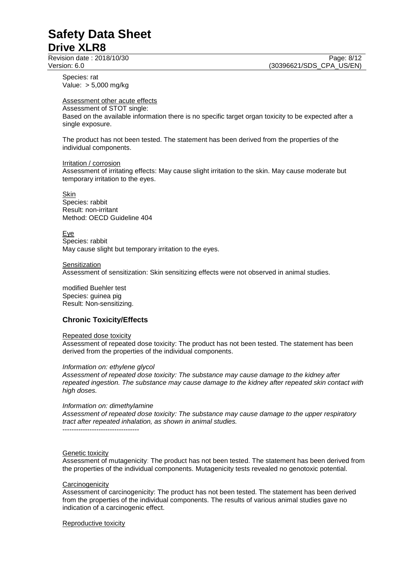Species: rat Value: > 5,000 mg/kg

#### Assessment other acute effects

Assessment of STOT single:

Based on the available information there is no specific target organ toxicity to be expected after a single exposure.

The product has not been tested. The statement has been derived from the properties of the individual components.

Irritation / corrosion Assessment of irritating effects: May cause slight irritation to the skin. May cause moderate but temporary irritation to the eyes.

Skin Species: rabbit Result: non-irritant Method: OECD Guideline 404

Eye Species: rabbit May cause slight but temporary irritation to the eyes.

**Sensitization** 

Assessment of sensitization: Skin sensitizing effects were not observed in animal studies.

modified Buehler test Species: guinea pig Result: Non-sensitizing.

#### **Chronic Toxicity/Effects**

#### Repeated dose toxicity

Assessment of repeated dose toxicity: The product has not been tested. The statement has been derived from the properties of the individual components.

*Information on: ethylene glycol*

*Assessment of repeated dose toxicity: The substance may cause damage to the kidney after repeated ingestion. The substance may cause damage to the kidney after repeated skin contact with high doses.*

*Information on: dimethylamine Assessment of repeated dose toxicity: The substance may cause damage to the upper respiratory tract after repeated inhalation, as shown in animal studies.*

----------------------------------

#### Genetic toxicity

Assessment of mutagenicity: The product has not been tested. The statement has been derived from the properties of the individual components. Mutagenicity tests revealed no genotoxic potential.

#### **Carcinogenicity**

Assessment of carcinogenicity: The product has not been tested. The statement has been derived from the properties of the individual components. The results of various animal studies gave no indication of a carcinogenic effect.

Reproductive toxicity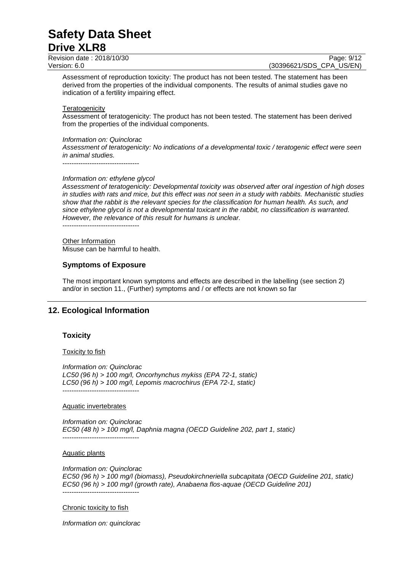Revision date : 2018/10/30 Page: 9/12<br>Version: 6.0 (30396621/SDS\_CPA\_US/EN)

(30396621/SDS CPA US/EN)

Assessment of reproduction toxicity: The product has not been tested. The statement has been derived from the properties of the individual components. The results of animal studies gave no indication of a fertility impairing effect.

#### **Teratogenicity**

Assessment of teratogenicity: The product has not been tested. The statement has been derived from the properties of the individual components.

#### *Information on: Quinclorac*

----------------------------------

*Assessment of teratogenicity: No indications of a developmental toxic / teratogenic effect were seen in animal studies.*

*Information on: ethylene glycol Assessment of teratogenicity: Developmental toxicity was observed after oral ingestion of high doses in studies with rats and mice, but this effect was not seen in a study with rabbits. Mechanistic studies show that the rabbit is the relevant species for the classification for human health. As such, and since ethylene glycol is not a developmental toxicant in the rabbit, no classification is warranted. However, the relevance of this result for humans is unclear.* ----------------------------------

Other Information Misuse can be harmful to health.

#### **Symptoms of Exposure**

The most important known symptoms and effects are described in the labelling (see section 2) and/or in section 11., (Further) symptoms and / or effects are not known so far

#### **12. Ecological Information**

#### **Toxicity**

#### **Toxicity to fish**

*Information on: Quinclorac LC50 (96 h) > 100 mg/l, Oncorhynchus mykiss (EPA 72-1, static) LC50 (96 h) > 100 mg/l, Lepomis macrochirus (EPA 72-1, static)* ----------------------------------

#### Aquatic invertebrates

*Information on: Quinclorac EC50 (48 h) > 100 mg/l, Daphnia magna (OECD Guideline 202, part 1, static)* ----------------------------------

#### Aquatic plants

*Information on: Quinclorac EC50 (96 h) > 100 mg/l (biomass), Pseudokirchneriella subcapitata (OECD Guideline 201, static) EC50 (96 h) > 100 mg/l (growth rate), Anabaena flos-aquae (OECD Guideline 201)* ----------------------------------

#### Chronic toxicity to fish

*Information on: quinclorac*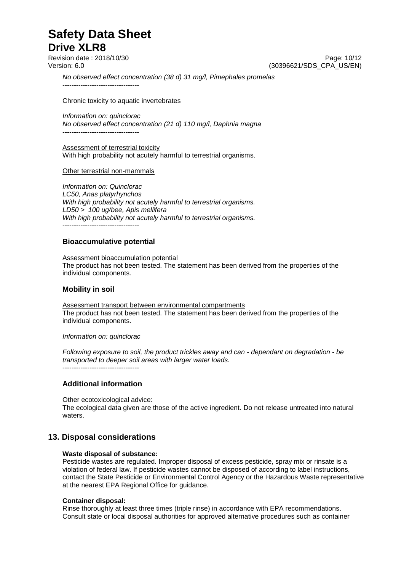Revision date : 2018/10/30 Page: 10/12<br>Version: 6.0 (30396621/SDS CPA US/EN)

(30396621/SDS CPA US/EN)

*No observed effect concentration (38 d) 31 mg/l, Pimephales promelas* ----------------------------------

Chronic toxicity to aquatic invertebrates

*Information on: quinclorac No observed effect concentration (21 d) 110 mg/l, Daphnia magna* ----------------------------------

Assessment of terrestrial toxicity With high probability not acutely harmful to terrestrial organisms.

Other terrestrial non-mammals

*Information on: Quinclorac LC50, Anas platyrhynchos With high probability not acutely harmful to terrestrial organisms. LD50 > 100 ug/bee, Apis mellifera With high probability not acutely harmful to terrestrial organisms.* ----------------------------------

#### **Bioaccumulative potential**

Assessment bioaccumulation potential The product has not been tested. The statement has been derived from the properties of the individual components.

#### **Mobility in soil**

Assessment transport between environmental compartments The product has not been tested. The statement has been derived from the properties of the individual components.

*Information on: quinclorac*

*Following exposure to soil, the product trickles away and can - dependant on degradation - be transported to deeper soil areas with larger water loads.* ----------------------------------

#### **Additional information**

Other ecotoxicological advice: The ecological data given are those of the active ingredient. Do not release untreated into natural waters.

#### **13. Disposal considerations**

#### **Waste disposal of substance:**

Pesticide wastes are regulated. Improper disposal of excess pesticide, spray mix or rinsate is a violation of federal law. If pesticide wastes cannot be disposed of according to label instructions, contact the State Pesticide or Environmental Control Agency or the Hazardous Waste representative at the nearest EPA Regional Office for guidance.

#### **Container disposal:**

Rinse thoroughly at least three times (triple rinse) in accordance with EPA recommendations. Consult state or local disposal authorities for approved alternative procedures such as container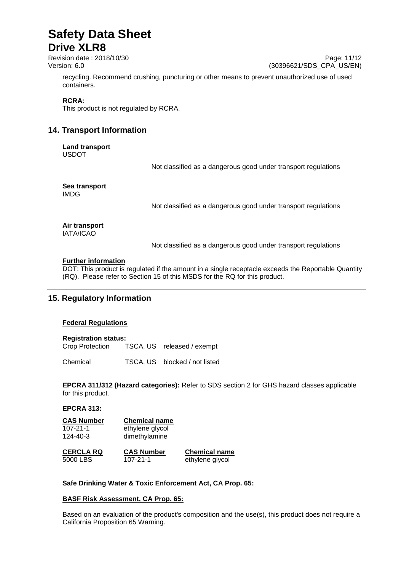# **Safety Data Sheet**

### **Drive XLR8**

Revision date : 2018/10/30 Page: 11/12<br>Version: 6.0 (30396621/SDS CPA US/EN)

(30396621/SDS CPA US/EN)

recycling. Recommend crushing, puncturing or other means to prevent unauthorized use of used containers.

#### **RCRA:**

This product is not regulated by RCRA.

#### **14. Transport Information**

**Land transport** USDOT

Not classified as a dangerous good under transport regulations

**Sea transport** IMDG

Not classified as a dangerous good under transport regulations

#### **Air transport** IATA/ICAO

Not classified as a dangerous good under transport regulations

#### **Further information**

DOT: This product is regulated if the amount in a single receptacle exceeds the Reportable Quantity (RQ). Please refer to Section 15 of this MSDS for the RQ for this product.

#### **15. Regulatory Information**

#### **Federal Regulations**

#### **Registration status:**

Crop Protection TSCA, US released / exempt

Chemical TSCA, US blocked / not listed

**EPCRA 311/312 (Hazard categories):** Refer to SDS section 2 for GHS hazard classes applicable for this product.

#### **EPCRA 313:**

| <b>CAS Number</b> | <b>Chemical name</b> |                      |
|-------------------|----------------------|----------------------|
| $107 - 21 - 1$    | ethylene glycol      |                      |
| $124 - 40 - 3$    | dimethylamine        |                      |
| <b>CERCLA RQ</b>  | <b>CAS Number</b>    | <b>Chemical name</b> |
| 5000 LBS          | $107 - 21 - 1$       | ethylene glycol      |

#### **Safe Drinking Water & Toxic Enforcement Act, CA Prop. 65:**

#### **BASF Risk Assessment, CA Prop. 65:**

Based on an evaluation of the product's composition and the use(s), this product does not require a California Proposition 65 Warning.